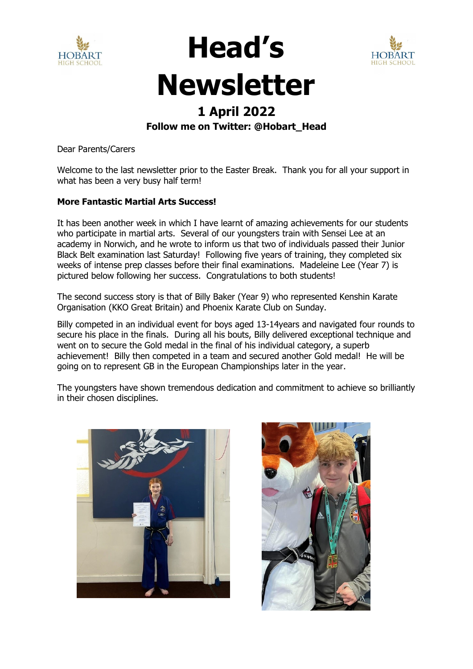



## **Newsletter**

**Head's** 

## **1 April 2022**

## **Follow me on Twitter: @Hobart\_Head**

Dear Parents/Carers

Welcome to the last newsletter prior to the Easter Break. Thank you for all your support in what has been a very busy half term!

### **More Fantastic Martial Arts Success!**

It has been another week in which I have learnt of amazing achievements for our students who participate in martial arts. Several of our youngsters train with Sensei Lee at an academy in Norwich, and he wrote to inform us that two of individuals passed their Junior Black Belt examination last Saturday! Following five years of training, they completed six weeks of intense prep classes before their final examinations. Madeleine Lee (Year 7) is pictured below following her success. Congratulations to both students!

The second success story is that of Billy Baker (Year 9) who represented Kenshin Karate Organisation (KKO Great Britain) and Phoenix Karate Club on Sunday.

Billy competed in an individual event for boys aged 13-14years and navigated four rounds to secure his place in the finals. During all his bouts, Billy delivered exceptional technique and went on to secure the Gold medal in the final of his individual category, a superb achievement! Billy then competed in a team and secured another Gold medal! He will be going on to represent GB in the European Championships later in the year.

The youngsters have shown tremendous dedication and commitment to achieve so brilliantly in their chosen disciplines.



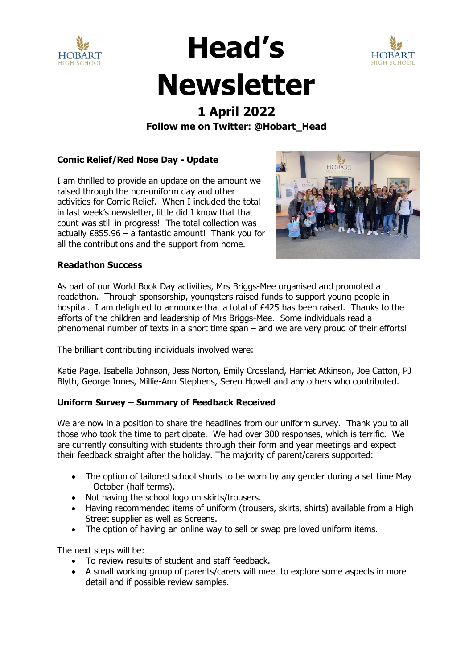



## **Head's Newsletter**

## **1 April 2022 Follow me on Twitter: @Hobart\_Head**

## **Comic Relief/Red Nose Day - Update**

I am thrilled to provide an update on the amount we raised through the non-uniform day and other activities for Comic Relief. When I included the total in last week's newsletter, little did I know that that count was still in progress! The total collection was actually £855.96 – a fantastic amount! Thank you for all the contributions and the support from home.



### **Readathon Success**

As part of our World Book Day activities, Mrs Briggs-Mee organised and promoted a readathon. Through sponsorship, youngsters raised funds to support young people in hospital. I am delighted to announce that a total of £425 has been raised. Thanks to the efforts of the children and leadership of Mrs Briggs-Mee. Some individuals read a phenomenal number of texts in a short time span – and we are very proud of their efforts!

The brilliant contributing individuals involved were:

Katie Page, Isabella Johnson, Jess Norton, Emily Crossland, Harriet Atkinson, Joe Catton, PJ Blyth, George Innes, Millie-Ann Stephens, Seren Howell and any others who contributed.

## **Uniform Survey – Summary of Feedback Received**

We are now in a position to share the headlines from our uniform survey. Thank you to all those who took the time to participate. We had over 300 responses, which is terrific. We are currently consulting with students through their form and year meetings and expect their feedback straight after the holiday. The majority of parent/carers supported:

- The option of tailored school shorts to be worn by any gender during a set time May – October (half terms).
- Not having the school logo on skirts/trousers.
- Having recommended items of uniform (trousers, skirts, shirts) available from a High Street supplier as well as Screens.
- The option of having an online way to sell or swap pre loved uniform items.

The next steps will be:

- To review results of student and staff feedback.
- A small working group of parents/carers will meet to explore some aspects in more detail and if possible review samples.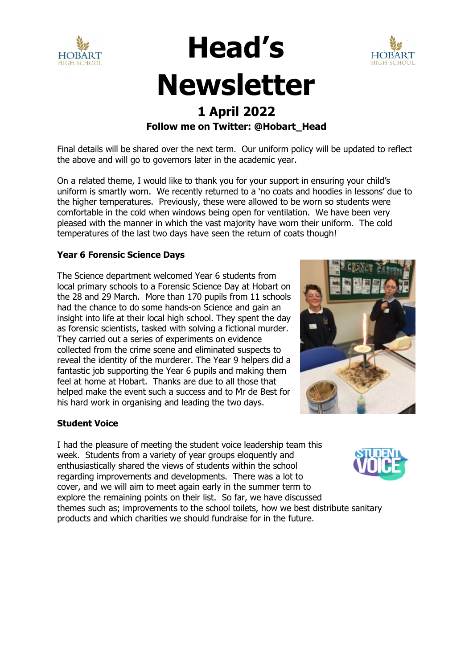



## **Newsletter**

**Head's** 

## **1 April 2022 Follow me on Twitter: @Hobart\_Head**

Final details will be shared over the next term. Our uniform policy will be updated to reflect the above and will go to governors later in the academic year.

On a related theme, I would like to thank you for your support in ensuring your child's uniform is smartly worn. We recently returned to a 'no coats and hoodies in lessons' due to the higher temperatures. Previously, these were allowed to be worn so students were comfortable in the cold when windows being open for ventilation. We have been very pleased with the manner in which the vast majority have worn their uniform. The cold temperatures of the last two days have seen the return of coats though!

## **Year 6 Forensic Science Days**

The Science department welcomed Year 6 students from local primary schools to a Forensic Science Day at Hobart on the 28 and 29 March. More than 170 pupils from 11 schools had the chance to do some hands-on Science and gain an insight into life at their local high school. They spent the day as forensic scientists, tasked with solving a fictional murder. They carried out a series of experiments on evidence collected from the crime scene and eliminated suspects to reveal the identity of the murderer. The Year 9 helpers did a fantastic job supporting the Year 6 pupils and making them feel at home at Hobart. Thanks are due to all those that helped make the event such a success and to Mr de Best for his hard work in organising and leading the two days.



## **Student Voice**

I had the pleasure of meeting the student voice leadership team this week. Students from a variety of year groups eloquently and enthusiastically shared the views of students within the school regarding improvements and developments. There was a lot to cover, and we will aim to meet again early in the summer term to explore the remaining points on their list. So far, we have discussed themes such as; improvements to the school toilets, how we best distribute sanitary products and which charities we should fundraise for in the future.